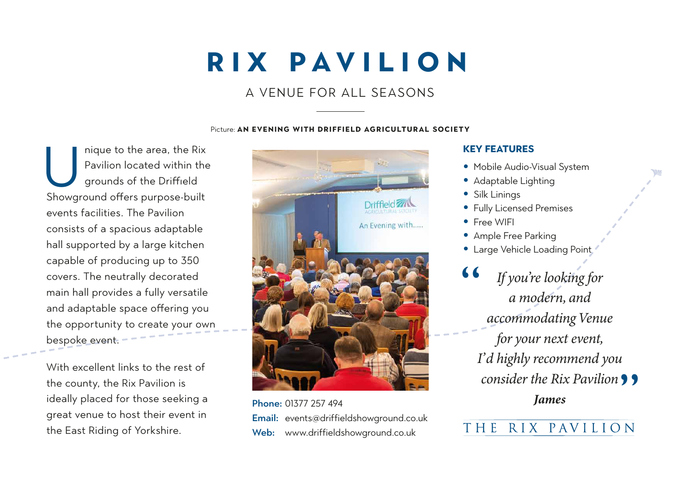# **RIX PAVILION**

### A VENUE FOR ALL SEASONS

#### Picture: **AN EVENING WITH DRIFFIELD AGRICULTURAL SOCIETY**

nique to the area, the Rix Pavilion located within the grounds of the Driffield nique to the area, the Rix<br>
Pavilion located within the<br>
grounds of the Driffield<br>
Showground offers purpose-built events facilities. The Pavilion consists of a spacious adaptable hall supported by a large kitchen capable of producing up to 350 covers. The neutrally decorated main hall provides a fully versatile and adaptable space offering you the opportunity to create your own bespoke event.

With excellent links to the rest of the county, the Rix Pavilion is ideally placed for those seeking a great venue to host their event in the East Riding of Yorkshire.



Phone: 01377 257 494 Email: events@driffieldshowground.co.uk Web: www.driffieldshowground.co.uk

#### **KEY FEATURES**

- Mobile Audio-Visual System
- Adaptable Lighting
- Silk Linings
- Fully Licensed Premises
- Free WIFI
- Ample Free Parking
- Large Vehicle Loading Point

If you're looking for a modern, and accommodating Venue for your next event, I'd highly recommend you *consider the Rix Pavilion* **9 9**<br>James **James** "

# THE RIX PAVILION